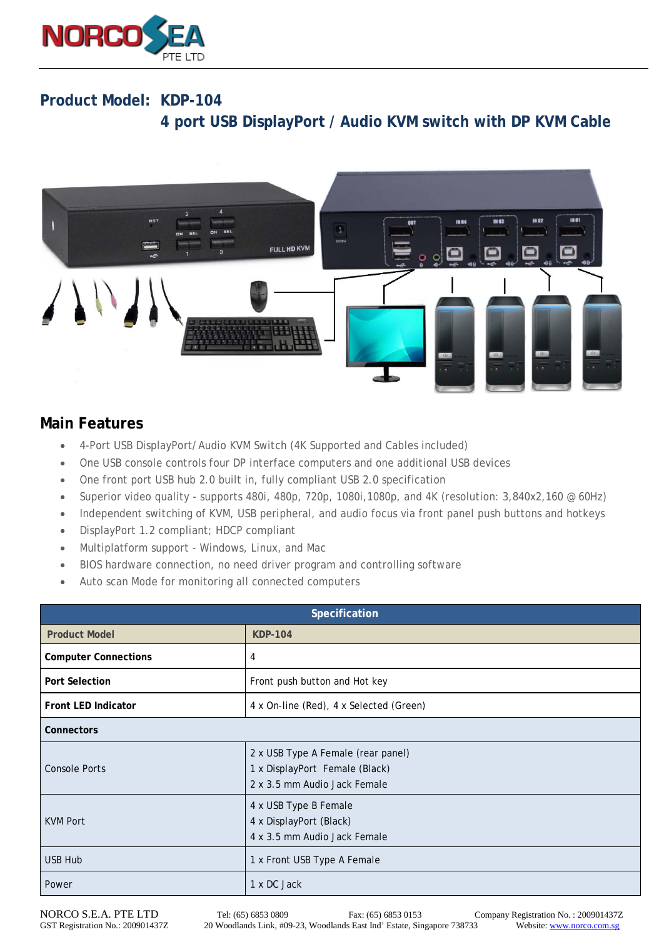

## **Product Model: KDP-104 4 port USB DisplayPort / Audio KVM switch with DP KVM Cable**



## **Main Features**

- 4-Port USB DisplayPort/Audio KVM Switch (4K Supported and Cables included)
- One USB console controls four DP interface computers and one additional USB devices
- One front port USB hub 2.0 built in, fully compliant USB 2.0 specification
- Superior video quality supports 480i, 480p, 720p, 1080i, 1080p, and 4K (resolution: 3,840x2,160 @ 60Hz)
- Independent switching of KVM, USB peripheral, and audio focus via front panel push buttons and hotkeys
- DisplayPort 1.2 compliant; HDCP compliant
- Multiplatform support Windows, Linux, and Mac
- BIOS hardware connection, no need driver program and controlling software
- Auto scan Mode for monitoring all connected computers

| Specification               |                                                                                                      |  |
|-----------------------------|------------------------------------------------------------------------------------------------------|--|
| <b>Product Model</b>        | <b>KDP-104</b>                                                                                       |  |
| <b>Computer Connections</b> | 4                                                                                                    |  |
| <b>Port Selection</b>       | Front push button and Hot key                                                                        |  |
| <b>Front LED Indicator</b>  | 4 x On-line (Red), 4 x Selected (Green)                                                              |  |
| <b>Connectors</b>           |                                                                                                      |  |
| <b>Console Ports</b>        | 2 x USB Type A Female (rear panel)<br>1 x DisplayPort Female (Black)<br>2 x 3.5 mm Audio Jack Female |  |
| <b>KVM Port</b>             | 4 x USB Type B Female<br>4 x DisplayPort (Black)<br>4 x 3.5 mm Audio Jack Female                     |  |
| <b>USB Hub</b>              | 1 x Front USB Type A Female                                                                          |  |
| Power                       | 1 x DC Jack                                                                                          |  |